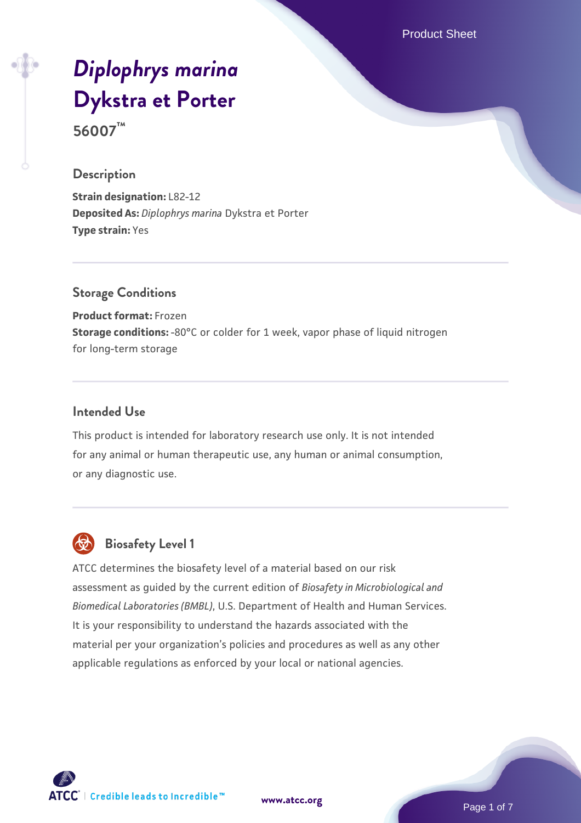Product Sheet

# *[Diplophrys marina](https://www.atcc.org/products/56007)* **[Dykstra et Porter](https://www.atcc.org/products/56007) 56007™**

#### **Description**

**Strain designation:** L82-12 **Deposited As:** *Diplophrys marina* Dykstra et Porter **Type strain:** Yes

#### **Storage Conditions**

**Product format:** Frozen **Storage conditions:** -80°C or colder for 1 week, vapor phase of liquid nitrogen for long-term storage

#### **Intended Use**

This product is intended for laboratory research use only. It is not intended for any animal or human therapeutic use, any human or animal consumption, or any diagnostic use.



### **Biosafety Level 1**

ATCC determines the biosafety level of a material based on our risk assessment as guided by the current edition of *Biosafety in Microbiological and Biomedical Laboratories (BMBL)*, U.S. Department of Health and Human Services. It is your responsibility to understand the hazards associated with the material per your organization's policies and procedures as well as any other applicable regulations as enforced by your local or national agencies.



**[www.atcc.org](http://www.atcc.org)**

Page 1 of 7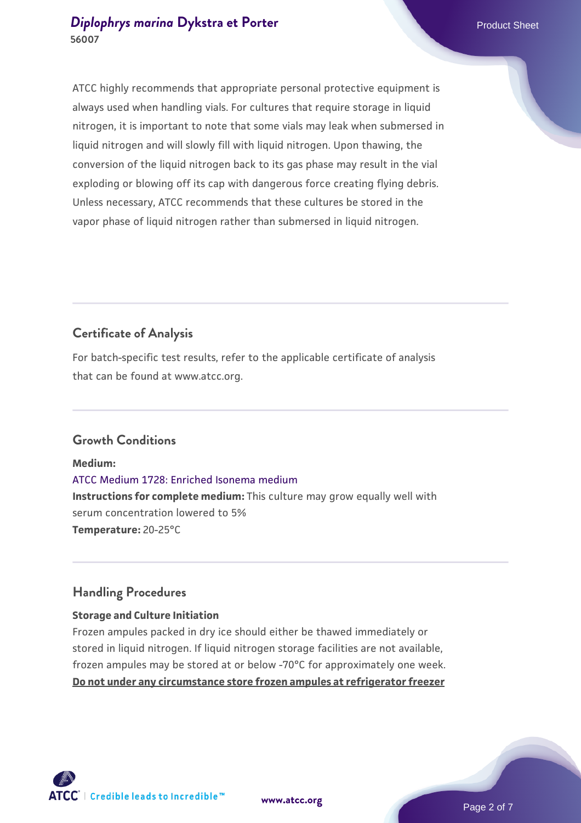#### *[Diplophrys marina](https://www.atcc.org/products/56007)* [Dykstra et Porter](https://www.atcc.org/products/56007) **Product Sheet** Product Sheet **56007**

ATCC highly recommends that appropriate personal protective equipment is always used when handling vials. For cultures that require storage in liquid nitrogen, it is important to note that some vials may leak when submersed in liquid nitrogen and will slowly fill with liquid nitrogen. Upon thawing, the conversion of the liquid nitrogen back to its gas phase may result in the vial exploding or blowing off its cap with dangerous force creating flying debris. Unless necessary, ATCC recommends that these cultures be stored in the vapor phase of liquid nitrogen rather than submersed in liquid nitrogen.

### **Certificate of Analysis**

For batch-specific test results, refer to the applicable certificate of analysis that can be found at www.atcc.org.

#### **Growth Conditions**

**Medium:**  [ATCC Medium 1728: Enriched Isonema medium](https://www.atcc.org/-/media/product-assets/documents/microbial-media-formulations/atcc-medium-1728.pdf?rev=fb716db16d144957b755e2376ad11a96) **Instructions for complete medium:** This culture may grow equally well with serum concentration lowered to 5% **Temperature:** 20-25°C

#### **Handling Procedures**

#### **Storage and Culture Initiation**

Frozen ampules packed in dry ice should either be thawed immediately or stored in liquid nitrogen. If liquid nitrogen storage facilities are not available, frozen ampules may be stored at or below -70°C for approximately one week. **Do not under any circumstance store frozen ampules at refrigerator freezer**

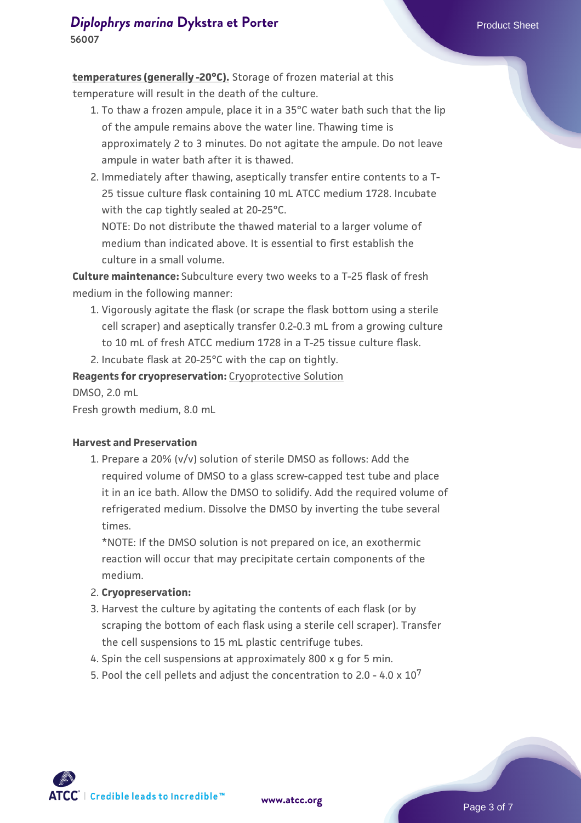**temperatures (generally -20°C).** Storage of frozen material at this temperature will result in the death of the culture.

- 1. To thaw a frozen ampule, place it in a 35°C water bath such that the lip  $\;$ of the ampule remains above the water line. Thawing time is approximately 2 to 3 minutes. Do not agitate the ampule. Do not leave ampule in water bath after it is thawed.
- 2. Immediately after thawing, aseptically transfer entire contents to a T-25 tissue culture flask containing 10 mL ATCC medium 1728. Incubate with the cap tightly sealed at 20-25°C.

NOTE: Do not distribute the thawed material to a larger volume of medium than indicated above. It is essential to first establish the culture in a small volume.

**Culture maintenance:** Subculture every two weeks to a T-25 flask of fresh medium in the following manner:

1. Vigorously agitate the flask (or scrape the flask bottom using a sterile cell scraper) and aseptically transfer 0.2-0.3 mL from a growing culture to 10 mL of fresh ATCC medium 1728 in a T-25 tissue culture flask.

2. Incubate flask at 20-25°C with the cap on tightly.

**Reagents for cryopreservation:** Cryoprotective Solution

DMSO, 2.0 mL

Fresh growth medium, 8.0 mL

#### **Harvest and Preservation**

1. Prepare a 20% (v/v) solution of sterile DMSO as follows: Add the required volume of DMSO to a glass screw-capped test tube and place it in an ice bath. Allow the DMSO to solidify. Add the required volume of refrigerated medium. Dissolve the DMSO by inverting the tube several times.

\*NOTE: If the DMSO solution is not prepared on ice, an exothermic reaction will occur that may precipitate certain components of the medium.

- 2. **Cryopreservation:**
- 3. Harvest the culture by agitating the contents of each flask (or by scraping the bottom of each flask using a sterile cell scraper). Transfer the cell suspensions to 15 mL plastic centrifuge tubes.
- 4. Spin the cell suspensions at approximately 800 x g for 5 min.
- 5. Pool the cell pellets and adjust the concentration to 2.0 4.0  $\times$  10<sup>7</sup>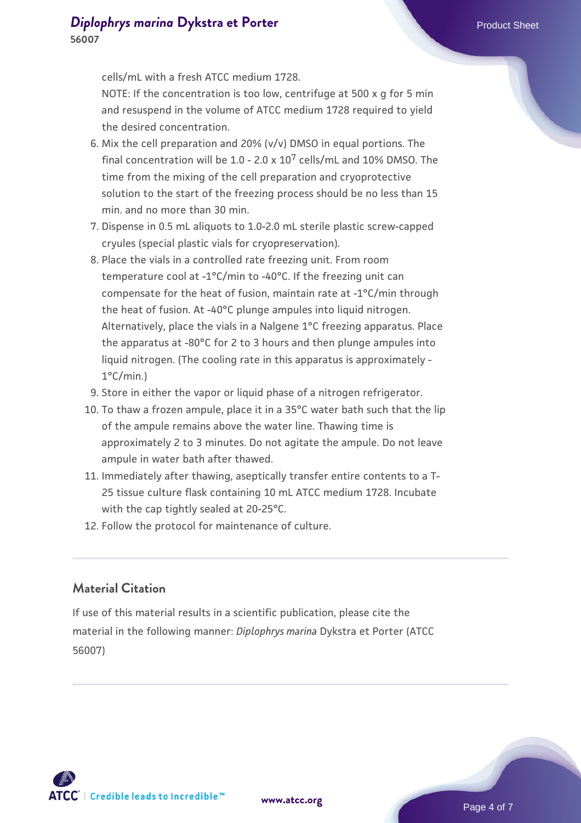cells/mL with a fresh ATCC medium 1728.

NOTE: If the concentration is too low, centrifuge at 500 x g for 5 min and resuspend in the volume of ATCC medium 1728 required to yield the desired concentration.

- 6. Mix the cell preparation and 20% (v/v) DMSO in equal portions. The final concentration will be  $1.0 - 2.0 \times 10^7$  cells/mL and  $10\%$  DMSO. The time from the mixing of the cell preparation and cryoprotective solution to the start of the freezing process should be no less than 15 min. and no more than 30 min.
- 7. Dispense in 0.5 mL aliquots to 1.0-2.0 mL sterile plastic screw-capped cryules (special plastic vials for cryopreservation).
- 8. Place the vials in a controlled rate freezing unit. From room temperature cool at -1°C/min to -40°C. If the freezing unit can compensate for the heat of fusion, maintain rate at -1°C/min through the heat of fusion. At -40°C plunge ampules into liquid nitrogen. Alternatively, place the vials in a Nalgene 1°C freezing apparatus. Place the apparatus at -80°C for 2 to 3 hours and then plunge ampules into liquid nitrogen. (The cooling rate in this apparatus is approximately - 1°C/min.)
- 9. Store in either the vapor or liquid phase of a nitrogen refrigerator.
- 10. To thaw a frozen ampule, place it in a 35°C water bath such that the lip of the ampule remains above the water line. Thawing time is approximately 2 to 3 minutes. Do not agitate the ampule. Do not leave ampule in water bath after thawed.
- 11. Immediately after thawing, aseptically transfer entire contents to a T-25 tissue culture flask containing 10 mL ATCC medium 1728. Incubate with the cap tightly sealed at 20-25°C.
- 12. Follow the protocol for maintenance of culture.

#### **Material Citation**

If use of this material results in a scientific publication, please cite the material in the following manner: *Diplophrys marina* Dykstra et Porter (ATCC 56007)

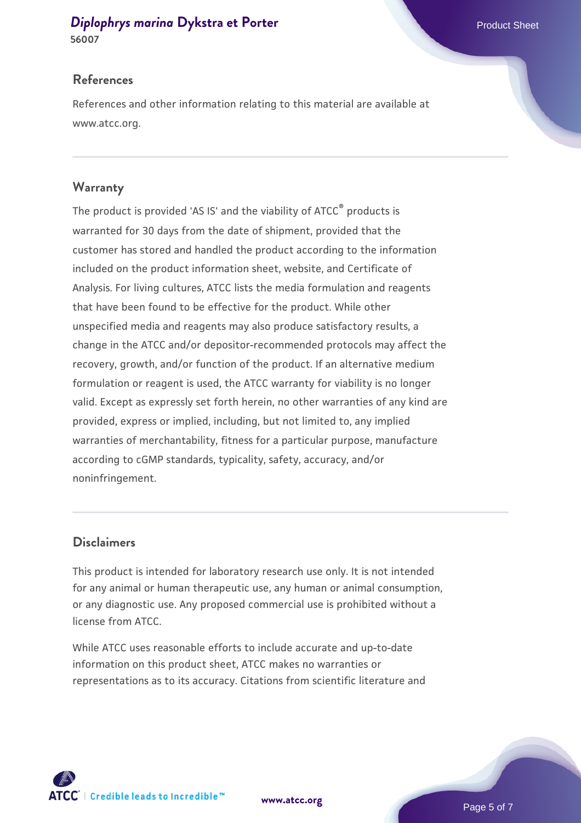#### *[Diplophrys marina](https://www.atcc.org/products/56007)* [Dykstra et Porter](https://www.atcc.org/products/56007) **Product Sheet** Product Sheet **56007**

#### **References**

References and other information relating to this material are available at www.atcc.org.

#### **Warranty**

The product is provided 'AS IS' and the viability of ATCC® products is warranted for 30 days from the date of shipment, provided that the customer has stored and handled the product according to the information included on the product information sheet, website, and Certificate of Analysis. For living cultures, ATCC lists the media formulation and reagents that have been found to be effective for the product. While other unspecified media and reagents may also produce satisfactory results, a change in the ATCC and/or depositor-recommended protocols may affect the recovery, growth, and/or function of the product. If an alternative medium formulation or reagent is used, the ATCC warranty for viability is no longer valid. Except as expressly set forth herein, no other warranties of any kind are provided, express or implied, including, but not limited to, any implied warranties of merchantability, fitness for a particular purpose, manufacture according to cGMP standards, typicality, safety, accuracy, and/or noninfringement.

#### **Disclaimers**

This product is intended for laboratory research use only. It is not intended for any animal or human therapeutic use, any human or animal consumption, or any diagnostic use. Any proposed commercial use is prohibited without a license from ATCC.

While ATCC uses reasonable efforts to include accurate and up-to-date information on this product sheet, ATCC makes no warranties or representations as to its accuracy. Citations from scientific literature and



**[www.atcc.org](http://www.atcc.org)**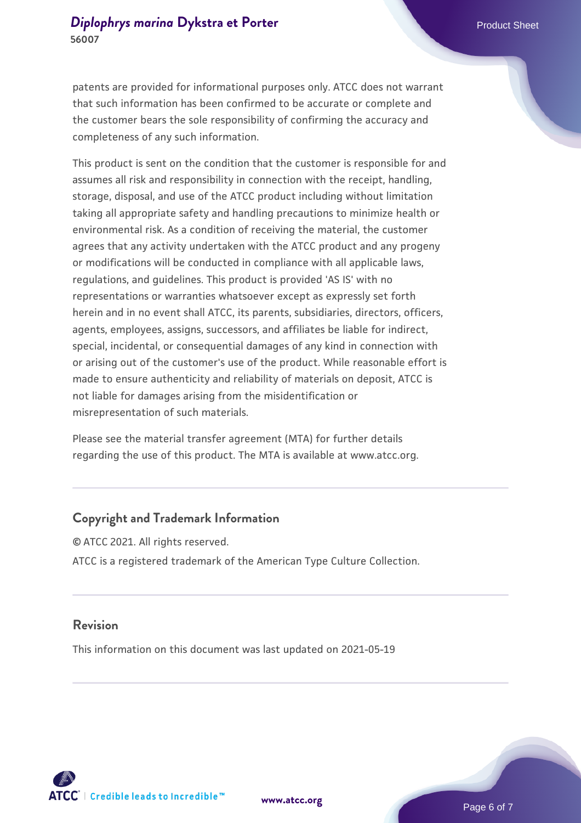patents are provided for informational purposes only. ATCC does not warrant that such information has been confirmed to be accurate or complete and the customer bears the sole responsibility of confirming the accuracy and completeness of any such information.

This product is sent on the condition that the customer is responsible for and assumes all risk and responsibility in connection with the receipt, handling, storage, disposal, and use of the ATCC product including without limitation taking all appropriate safety and handling precautions to minimize health or environmental risk. As a condition of receiving the material, the customer agrees that any activity undertaken with the ATCC product and any progeny or modifications will be conducted in compliance with all applicable laws, regulations, and guidelines. This product is provided 'AS IS' with no representations or warranties whatsoever except as expressly set forth herein and in no event shall ATCC, its parents, subsidiaries, directors, officers, agents, employees, assigns, successors, and affiliates be liable for indirect, special, incidental, or consequential damages of any kind in connection with or arising out of the customer's use of the product. While reasonable effort is made to ensure authenticity and reliability of materials on deposit, ATCC is not liable for damages arising from the misidentification or misrepresentation of such materials.

Please see the material transfer agreement (MTA) for further details regarding the use of this product. The MTA is available at www.atcc.org.

#### **Copyright and Trademark Information**

© ATCC 2021. All rights reserved. ATCC is a registered trademark of the American Type Culture Collection.

#### **Revision**

This information on this document was last updated on 2021-05-19